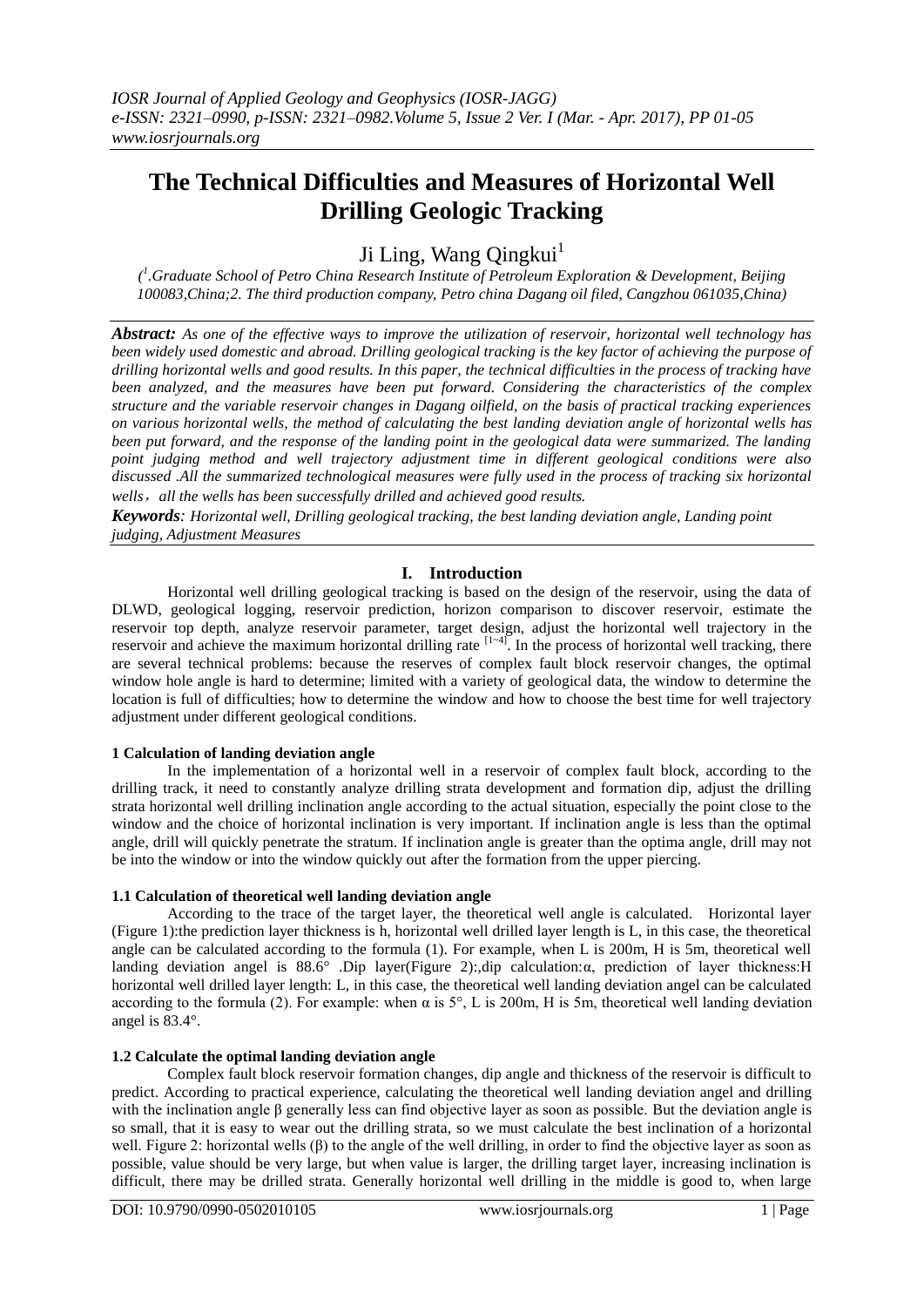# **The Technical Difficulties and Measures of Horizontal Well Drilling Geologic Tracking**

Ji Ling, Wang Qingkui<sup>1</sup>

*( 1 .Graduate School of Petro China Research Institute of Petroleum Exploration & Development, Beijing 100083,China;2. The third production company, Petro china Dagang oil filed, Cangzhou 061035,China)*

*Abstract: As one of the effective ways to improve the utilization of reservoir, horizontal well technology has been widely used domestic and abroad. Drilling geological tracking is the key factor of achieving the purpose of drilling horizontal wells and good results. In this paper, the technical difficulties in the process of tracking have been analyzed, and the measures have been put forward. Considering the characteristics of the complex structure and the variable reservoir changes in Dagang oilfield, on the basis of practical tracking experiences on various horizontal wells, the method of calculating the best landing deviation angle of horizontal wells has been put forward, and the response of the landing point in the geological data were summarized. The landing point judging method and well trajectory adjustment time in different geological conditions were also discussed .All the summarized technological measures were fully used in the process of tracking six horizontal wells*,*all the wells has been successfully drilled and achieved good results.*

*Keywords: Horizontal well, Drilling geological tracking, the best landing deviation angle, Landing point judging, Adjustment Measures*

# **I. Introduction**

Horizontal well drilling geological tracking is based on the design of the reservoir, using the data of DLWD, geological logging, reservoir prediction, horizon comparison to discover reservoir, estimate the reservoir top depth, analyze reservoir parameter, target design, adjust the horizontal well trajectory in the reservoir and achieve the maximum horizontal drilling rate  $[1-4]$ . In the process of horizontal well tracking, there are several technical problems: because the reserves of complex fault block reservoir changes, the optimal window hole angle is hard to determine; limited with a variety of geological data, the window to determine the location is full of difficulties; how to determine the window and how to choose the best time for well trajectory adjustment under different geological conditions.

## **1 Calculation of landing deviation angle**

In the implementation of a horizontal well in a reservoir of complex fault block, according to the drilling track, it need to constantly analyze drilling strata development and formation dip, adjust the drilling strata horizontal well drilling inclination angle according to the actual situation, especially the point close to the window and the choice of horizontal inclination is very important. If inclination angle is less than the optimal angle, drill will quickly penetrate the stratum. If inclination angle is greater than the optima angle, drill may not be into the window or into the window quickly out after the formation from the upper piercing.

## **1.1 Calculation of theoretical well landing deviation angle**

According to the trace of the target layer, the theoretical well angle is calculated. Horizontal layer (Figure 1):the prediction layer thickness is h, horizontal well drilled layer length is L, in this case, the theoretical angle can be calculated according to the formula (1). For example, when L is 200m, H is 5m, theoretical well landing deviation angel is 88.6° .Dip layer(Figure 2):,dip calculation:α, prediction of layer thickness:H horizontal well drilled layer length: L, in this case, the theoretical well landing deviation angel can be calculated according to the formula (2). For example: when  $\alpha$  is 5°, L is 200m, H is 5m, theoretical well landing deviation angel is 83.4°.

## **1.2 Calculate the optimal landing deviation angle**

Complex fault block reservoir formation changes, dip angle and thickness of the reservoir is difficult to predict. According to practical experience, calculating the theoretical well landing deviation angel and drilling with the inclination angle β generally less can find objective layer as soon as possible. But the deviation angle is so small, that it is easy to wear out the drilling strata, so we must calculate the best inclination of a horizontal well. Figure 2: horizontal wells (β) to the angle of the well drilling, in order to find the objective layer as soon as possible, value should be very large, but when value is larger, the drilling target layer, increasing inclination is difficult, there may be drilled strata. Generally horizontal well drilling in the middle is good to, when large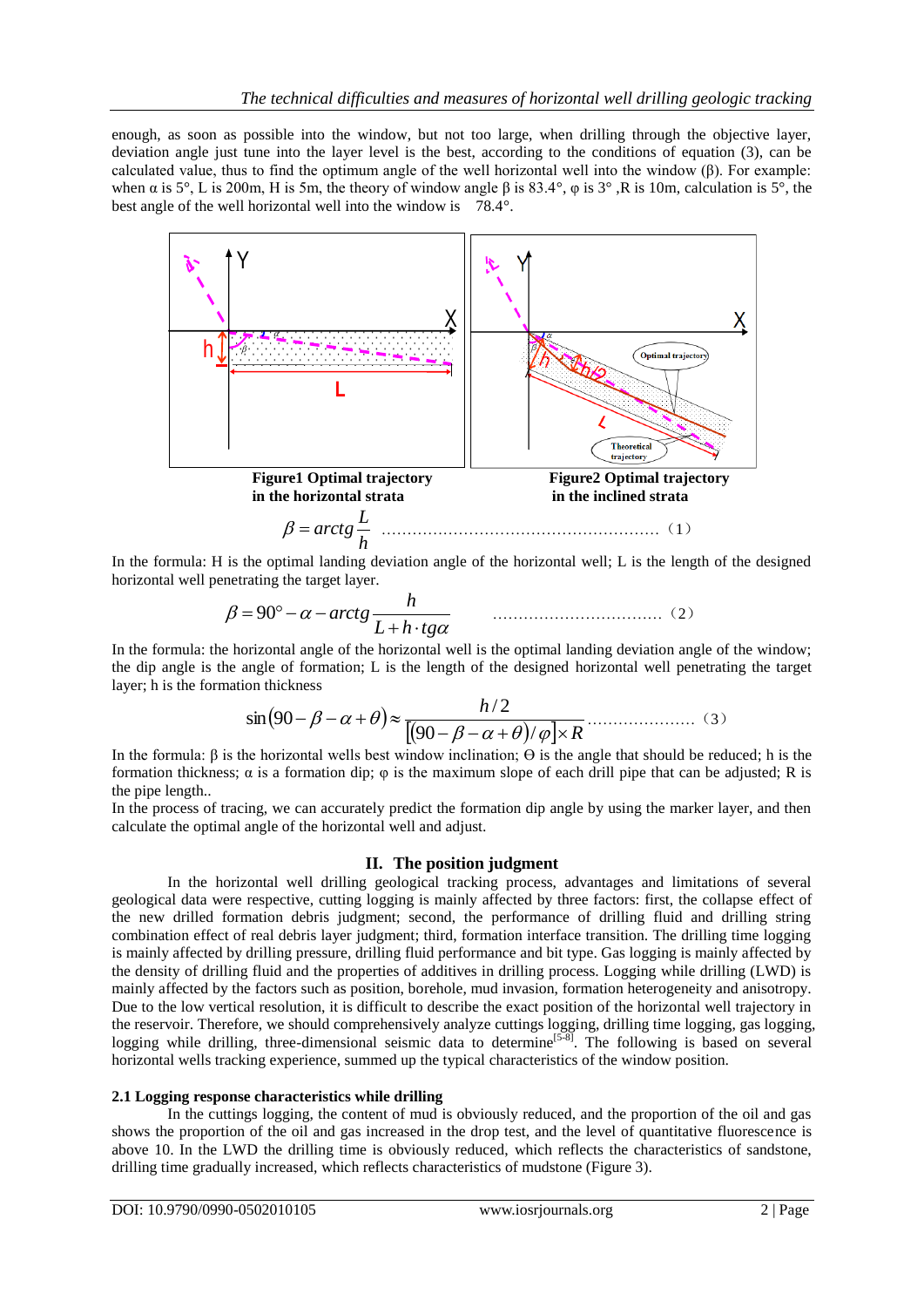enough, as soon as possible into the window, but not too large, when drilling through the objective layer, deviation angle just tune into the layer level is the best, according to the conditions of equation (3), can be calculated value, thus to find the optimum angle of the well horizontal well into the window (β). For example: when  $\alpha$  is 5°, L is 200m, H is 5m, the theory of window angle  $\beta$  is 83.4°,  $\varphi$  is 3°, R is 10m, calculation is 5°, the best angle of the well horizontal well into the window is 78.4°.



In the formula: H is the optimal landing deviation angle of the horizontal well; L is the length of the designed horizontal well penetrating the target layer.

$$
\beta = 90^{\circ} - \alpha - \arctg \frac{h}{L + h \cdot \text{t}g\alpha} \tag{2}
$$

In the formula: the horizontal angle of the horizontal well is the optimal landing deviation angle of the window; the dip angle is the angle of formation; L is the length of the designed horizontal well penetrating the target layer; h is the formation thickness

$$
\sin(90 - \beta - \alpha + \theta) \approx \frac{h/2}{[(90 - \beta - \alpha + \theta)/\varphi] \times R}
$$
 (3)

In the formula: β is the horizontal wells best window inclination;  $\Theta$  is the angle that should be reduced; h is the formation thickness;  $\alpha$  is a formation dip;  $\varphi$  is the maximum slope of each drill pipe that can be adjusted; R is the pipe length..

In the process of tracing, we can accurately predict the formation dip angle by using the marker layer, and then calculate the optimal angle of the horizontal well and adjust.

## **II. The position judgment**

In the horizontal well drilling geological tracking process, advantages and limitations of several geological data were respective, cutting logging is mainly affected by three factors: first, the collapse effect of the new drilled formation debris judgment; second, the performance of drilling fluid and drilling string combination effect of real debris layer judgment; third, formation interface transition. The drilling time logging is mainly affected by drilling pressure, drilling fluid performance and bit type. Gas logging is mainly affected by the density of drilling fluid and the properties of additives in drilling process. Logging while drilling (LWD) is mainly affected by the factors such as position, borehole, mud invasion, formation heterogeneity and anisotropy. Due to the low vertical resolution, it is difficult to describe the exact position of the horizontal well trajectory in the reservoir. Therefore, we should comprehensively analyze cuttings logging, drilling time logging, gas logging, logging while drilling, three-dimensional seismic data to determine<sup>[5-8]</sup>. The following is based on several horizontal wells tracking experience, summed up the typical characteristics of the window position.

#### **2.1 Logging response characteristics while drilling**

In the cuttings logging, the content of mud is obviously reduced, and the proportion of the oil and gas shows the proportion of the oil and gas increased in the drop test, and the level of quantitative fluorescence is above 10. In the LWD the drilling time is obviously reduced, which reflects the characteristics of sandstone, drilling time gradually increased, which reflects characteristics of mudstone (Figure 3).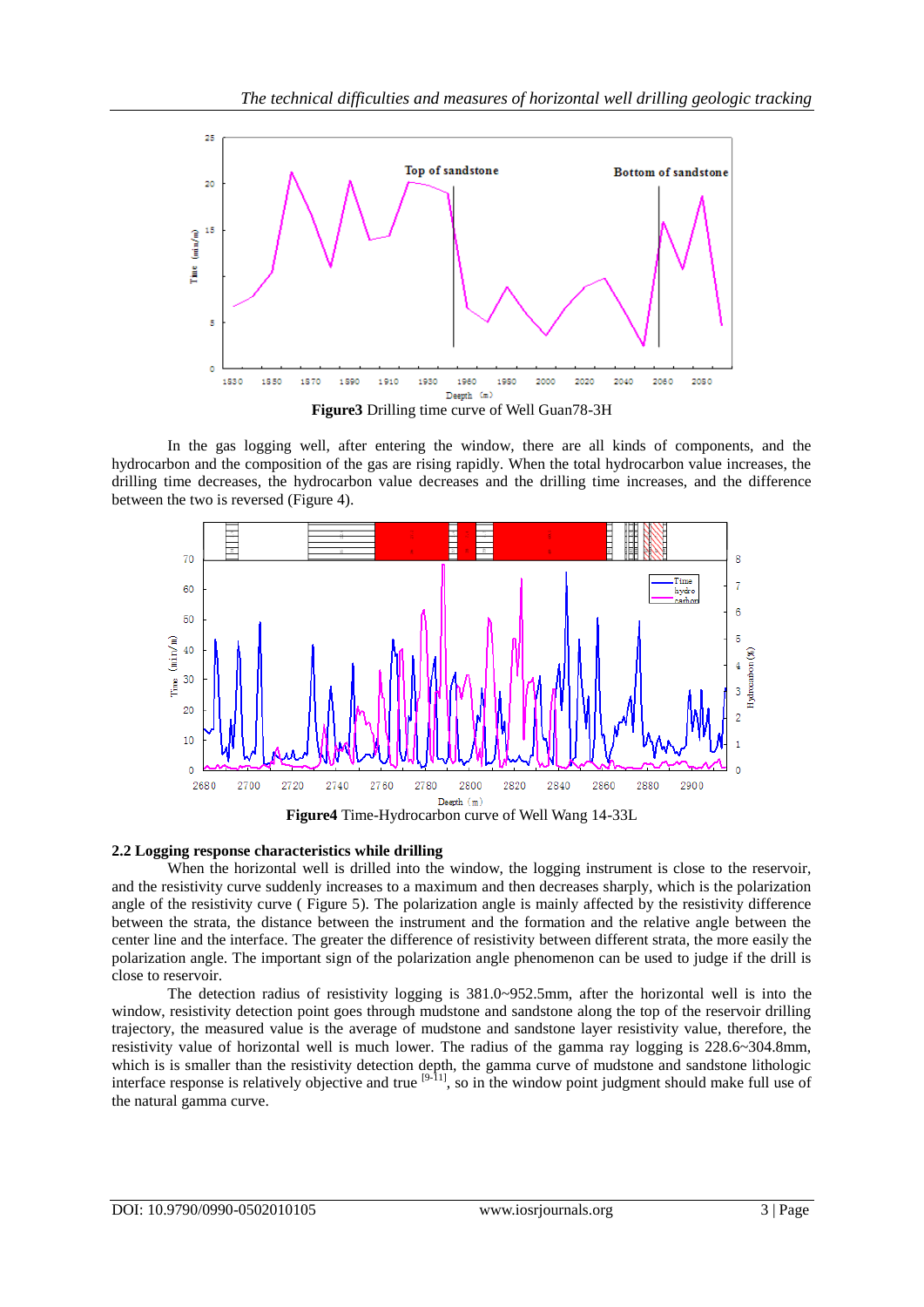

In the gas logging well, after entering the window, there are all kinds of components, and the hydrocarbon and the composition of the gas are rising rapidly. When the total hydrocarbon value increases, the drilling time decreases, the hydrocarbon value decreases and the drilling time increases, and the difference between the two is reversed (Figure 4).



#### **2.2 Logging response characteristics while drilling**

When the horizontal well is drilled into the window, the logging instrument is close to the reservoir, and the resistivity curve suddenly increases to a maximum and then decreases sharply, which is the polarization angle of the resistivity curve ( Figure 5). The polarization angle is mainly affected by the resistivity difference between the strata, the distance between the instrument and the formation and the relative angle between the center line and the interface. The greater the difference of resistivity between different strata, the more easily the polarization angle. The important sign of the polarization angle phenomenon can be used to judge if the drill is close to reservoir.

The detection radius of resistivity logging is 381.0~952.5mm, after the horizontal well is into the window, resistivity detection point goes through mudstone and sandstone along the top of the reservoir drilling trajectory, the measured value is the average of mudstone and sandstone layer resistivity value, therefore, the resistivity value of horizontal well is much lower. The radius of the gamma ray logging is 228.6~304.8mm, which is is smaller than the resistivity detection depth, the gamma curve of mudstone and sandstone lithologic interface response is relatively objective and true  $[9-11]$ , so in the window point judgment should make full use of the natural gamma curve.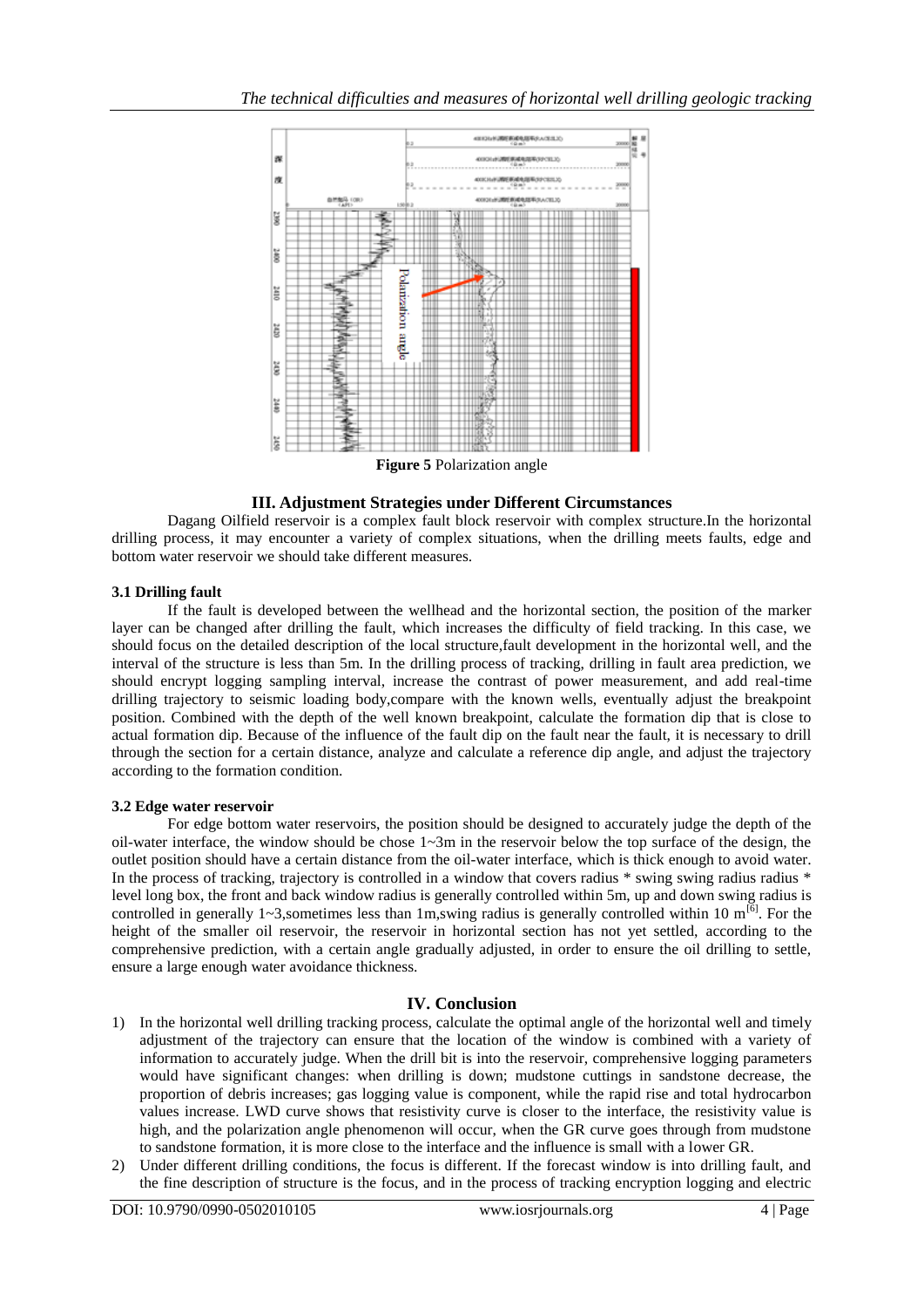

### **III. Adjustment Strategies under Different Circumstances**

Dagang Oilfield reservoir is a complex fault block reservoir with complex structure.In the horizontal drilling process, it may encounter a variety of complex situations, when the drilling meets faults, edge and bottom water reservoir we should take different measures.

## **3.1 Drilling fault**

If the fault is developed between the wellhead and the horizontal section, the position of the marker layer can be changed after drilling the fault, which increases the difficulty of field tracking. In this case, we should focus on the detailed description of the local structure,fault development in the horizontal well, and the interval of the structure is less than 5m. In the drilling process of tracking, drilling in fault area prediction, we should encrypt logging sampling interval, increase the contrast of power measurement, and add real-time drilling trajectory to seismic loading body,compare with the known wells, eventually adjust the breakpoint position. Combined with the depth of the well known breakpoint, calculate the formation dip that is close to actual formation dip. Because of the influence of the fault dip on the fault near the fault, it is necessary to drill through the section for a certain distance, analyze and calculate a reference dip angle, and adjust the trajectory according to the formation condition.

#### **3.2 Edge water reservoir**

For edge bottom water reservoirs, the position should be designed to accurately judge the depth of the oil-water interface, the window should be chose  $1~\text{-}3m$  in the reservoir below the top surface of the design, the outlet position should have a certain distance from the oil-water interface, which is thick enough to avoid water. In the process of tracking, trajectory is controlled in a window that covers radius \* swing swing radius radius \* level long box, the front and back window radius is generally controlled within 5m, up and down swing radius is controlled in generally 1~3,sometimes less than 1m,swing radius is generally controlled within 10  $m^{[6]}$ . For the height of the smaller oil reservoir, the reservoir in horizontal section has not yet settled, according to the comprehensive prediction, with a certain angle gradually adjusted, in order to ensure the oil drilling to settle, ensure a large enough water avoidance thickness.

## **IV. Conclusion**

- 1) In the horizontal well drilling tracking process, calculate the optimal angle of the horizontal well and timely adjustment of the trajectory can ensure that the location of the window is combined with a variety of information to accurately judge. When the drill bit is into the reservoir, comprehensive logging parameters would have significant changes: when drilling is down; mudstone cuttings in sandstone decrease, the proportion of debris increases; gas logging value is component, while the rapid rise and total hydrocarbon values increase. LWD curve shows that resistivity curve is closer to the interface, the resistivity value is high, and the polarization angle phenomenon will occur, when the GR curve goes through from mudstone to sandstone formation, it is more close to the interface and the influence is small with a lower GR.
- 2) Under different drilling conditions, the focus is different. If the forecast window is into drilling fault, and the fine description of structure is the focus, and in the process of tracking encryption logging and electric